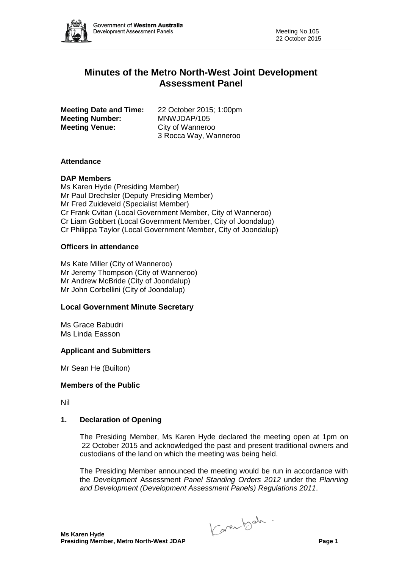

# **Minutes of the Metro North-West Joint Development Assessment Panel**

**Meeting Date and Time:** 22 October 2015; 1:00pm<br>**Meeting Number:** MNWJDAP/105 **Meeting Number: Meeting Venue:** City of Wanneroo

3 Rocca Way, Wanneroo

## **Attendance**

## **DAP Members**

Ms Karen Hyde (Presiding Member) Mr Paul Drechsler (Deputy Presiding Member) Mr Fred Zuideveld (Specialist Member) Cr Frank Cvitan (Local Government Member, City of Wanneroo) Cr Liam Gobbert (Local Government Member, City of Joondalup) Cr Philippa Taylor (Local Government Member, City of Joondalup)

## **Officers in attendance**

Ms Kate Miller (City of Wanneroo) Mr Jeremy Thompson (City of Wanneroo) Mr Andrew McBride (City of Joondalup) Mr John Corbellini (City of Joondalup)

## **Local Government Minute Secretary**

Ms Grace Babudri Ms Linda Easson

## **Applicant and Submitters**

Mr Sean He (Builton)

## **Members of the Public**

Nil

## **1. Declaration of Opening**

The Presiding Member, Ms Karen Hyde declared the meeting open at 1pm on 22 October 2015 and acknowledged the past and present traditional owners and custodians of the land on which the meeting was being held.

The Presiding Member announced the meeting would be run in accordance with the *Development* Assessment *Panel Standing Orders 2012* under the *Planning and Development (Development Assessment Panels) Regulations 2011*.

Carentsch.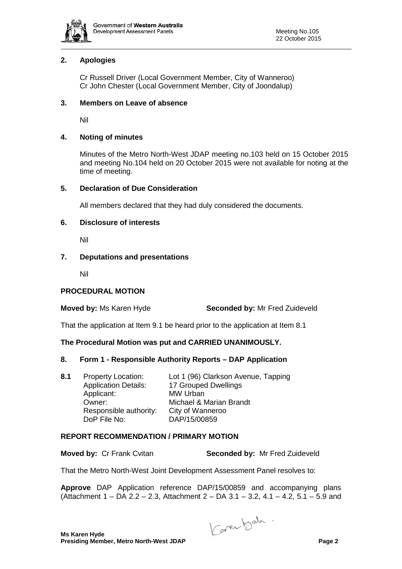

## **2. Apologies**

Cr Russell Driver (Local Government Member, City of Wanneroo) Cr John Chester (Local Government Member, City of Joondalup)

#### **3. Members on Leave of absence**

Nil

## **4. Noting of minutes**

Minutes of the Metro North-West JDAP meeting no.103 held on 15 October 2015 and meeting No.104 held on 20 October 2015 were not available for noting at the time of meeting.

#### **5. Declaration of Due Consideration**

All members declared that they had duly considered the documents.

#### **6. Disclosure of interests**

Nil

#### **7. Deputations and presentations**

Nil

## **PROCEDURAL MOTION**

**Moved by:** Ms Karen Hyde **Seconded by:** Mr Fred Zuideveld

That the application at Item 9.1 be heard prior to the application at Item 8.1

## **The Procedural Motion was put and CARRIED UNANIMOUSLY.**

#### **8. Form 1 - Responsible Authority Reports – DAP Application**

| 8.1 | <b>Property Location:</b>   | Lot 1 (96) Clarkson Avenue, Tapping |
|-----|-----------------------------|-------------------------------------|
|     | <b>Application Details:</b> | 17 Grouped Dwellings                |
|     | Applicant:                  | <b>MW Urban</b>                     |
|     | Owner:                      | Michael & Marian Brandt             |
|     | Responsible authority:      | City of Wanneroo                    |
|     | DoP File No:                | DAP/15/00859                        |

## **REPORT RECOMMENDATION / PRIMARY MOTION**

**Moved by:** Cr Frank Cvitan **Seconded by:** Mr Fred Zuideveld

That the Metro North-West Joint Development Assessment Panel resolves to:

**Approve** DAP Application reference DAP/15/00859 and accompanying plans (Attachment 1 – DA 2.2 – 2.3, Attachment 2 – DA 3.1 – 3.2, 4.1 – 4.2, 5.1 – 5.9 and

Carentsch.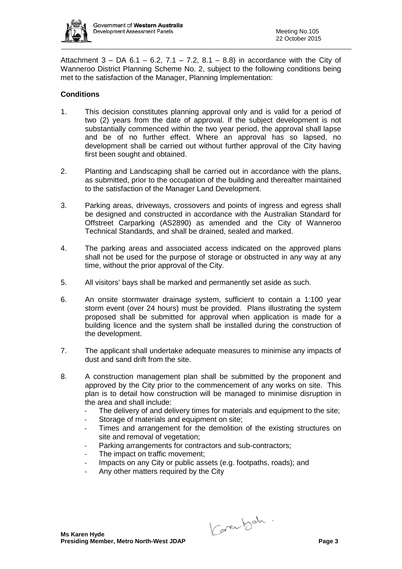

Attachment  $3 - DA 6.1 - 6.2$ ,  $7.1 - 7.2$ ,  $8.1 - 8.8$ ) in accordance with the City of Wanneroo District Planning Scheme No. 2, subject to the following conditions being met to the satisfaction of the Manager, Planning Implementation:

## **Conditions**

- 1. This decision constitutes planning approval only and is valid for a period of two (2) years from the date of approval. If the subject development is not substantially commenced within the two year period, the approval shall lapse and be of no further effect. Where an approval has so lapsed, no development shall be carried out without further approval of the City having first been sought and obtained.
- 2. Planting and Landscaping shall be carried out in accordance with the plans, as submitted, prior to the occupation of the building and thereafter maintained to the satisfaction of the Manager Land Development.
- 3. Parking areas, driveways, crossovers and points of ingress and egress shall be designed and constructed in accordance with the Australian Standard for Offstreet Carparking (AS2890) as amended and the City of Wanneroo Technical Standards, and shall be drained, sealed and marked.
- 4. The parking areas and associated access indicated on the approved plans shall not be used for the purpose of storage or obstructed in any way at any time, without the prior approval of the City.
- 5. All visitors' bays shall be marked and permanently set aside as such.
- 6. An onsite stormwater drainage system, sufficient to contain a 1:100 year storm event (over 24 hours) must be provided. Plans illustrating the system proposed shall be submitted for approval when application is made for a building licence and the system shall be installed during the construction of the development.
- 7. The applicant shall undertake adequate measures to minimise any impacts of dust and sand drift from the site.
- 8. A construction management plan shall be submitted by the proponent and approved by the City prior to the commencement of any works on site. This plan is to detail how construction will be managed to minimise disruption in the area and shall include:
	- The delivery of and delivery times for materials and equipment to the site;
	- Storage of materials and equipment on site;
	- Times and arrangement for the demolition of the existing structures on site and removal of vegetation;
	- Parking arrangements for contractors and sub-contractors;
	- The impact on traffic movement;
	- Impacts on any City or public assets (e.g. footpaths, roads); and
	- Any other matters required by the City

Carentsch.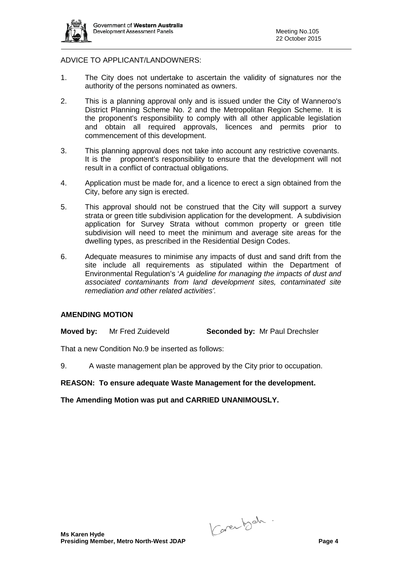

## ADVICE TO APPLICANT/LANDOWNERS:

- 1. The City does not undertake to ascertain the validity of signatures nor the authority of the persons nominated as owners.
- 2. This is a planning approval only and is issued under the City of Wanneroo's District Planning Scheme No. 2 and the Metropolitan Region Scheme. It is the proponent's responsibility to comply with all other applicable legislation and obtain all required approvals, licences and permits prior to commencement of this development.
- 3. This planning approval does not take into account any restrictive covenants. It is the proponent's responsibility to ensure that the development will not result in a conflict of contractual obligations.
- 4. Application must be made for, and a licence to erect a sign obtained from the City, before any sign is erected.
- 5. This approval should not be construed that the City will support a survey strata or green title subdivision application for the development. A subdivision application for Survey Strata without common property or green title subdivision will need to meet the minimum and average site areas for the dwelling types, as prescribed in the Residential Design Codes.
- 6. Adequate measures to minimise any impacts of dust and sand drift from the site include all requirements as stipulated within the Department of Environmental Regulation's '*A guideline for managing the impacts of dust and associated contaminants from land development sites, contaminated site remediation and other related activities'.*

## **AMENDING MOTION**

**Moved by:** Mr Fred Zuideveld **Seconded by:** Mr Paul Drechsler

That a new Condition No.9 be inserted as follows:

9. A waste management plan be approved by the City prior to occupation.

#### **REASON: To ensure adequate Waste Management for the development.**

**The Amending Motion was put and CARRIED UNANIMOUSLY.**

Carentsch.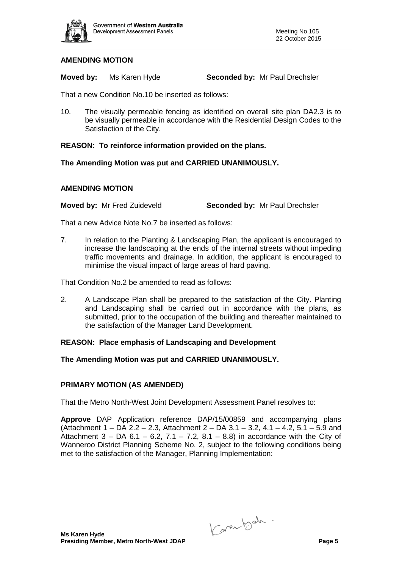

## **AMENDING MOTION**

**Moved by:** Ms Karen Hyde **Seconded by:** Mr Paul Drechsler

That a new Condition No.10 be inserted as follows:

10. The visually permeable fencing as identified on overall site plan DA2.3 is to be visually permeable in accordance with the Residential Design Codes to the Satisfaction of the City.

#### **REASON: To reinforce information provided on the plans.**

#### **The Amending Motion was put and CARRIED UNANIMOUSLY.**

#### **AMENDING MOTION**

**Moved by:** Mr Fred Zuideveld **Seconded by:** Mr Paul Drechsler

That a new Advice Note No.7 be inserted as follows:

7. In relation to the Planting & Landscaping Plan, the applicant is encouraged to increase the landscaping at the ends of the internal streets without impeding traffic movements and drainage. In addition, the applicant is encouraged to minimise the visual impact of large areas of hard paving.

That Condition No.2 be amended to read as follows:

2. A Landscape Plan shall be prepared to the satisfaction of the City. Planting and Landscaping shall be carried out in accordance with the plans, as submitted, prior to the occupation of the building and thereafter maintained to the satisfaction of the Manager Land Development.

## **REASON: Place emphasis of Landscaping and Development**

#### **The Amending Motion was put and CARRIED UNANIMOUSLY.**

#### **PRIMARY MOTION (AS AMENDED)**

That the Metro North-West Joint Development Assessment Panel resolves to:

**Approve** DAP Application reference DAP/15/00859 and accompanying plans (Attachment 1 – DA 2.2 – 2.3, Attachment 2 – DA 3.1 – 3.2, 4.1 – 4.2, 5.1 – 5.9 and Attachment  $3 - DA 6.1 - 6.2$ ,  $7.1 - 7.2$ ,  $8.1 - 8.8$ ) in accordance with the City of Wanneroo District Planning Scheme No. 2, subject to the following conditions being met to the satisfaction of the Manager, Planning Implementation:

Carentsch.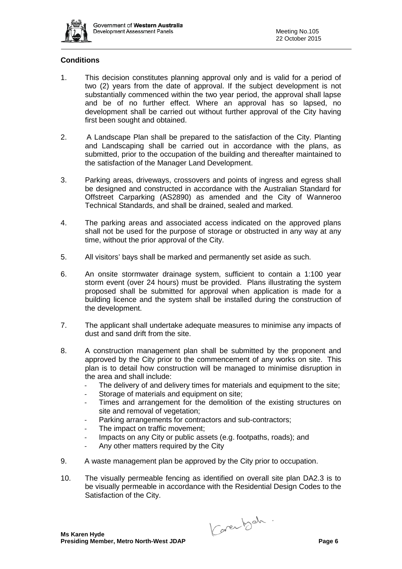

## **Conditions**

- 1. This decision constitutes planning approval only and is valid for a period of two (2) years from the date of approval. If the subject development is not substantially commenced within the two year period, the approval shall lapse and be of no further effect. Where an approval has so lapsed, no development shall be carried out without further approval of the City having first been sought and obtained.
- 2. A Landscape Plan shall be prepared to the satisfaction of the City. Planting and Landscaping shall be carried out in accordance with the plans, as submitted, prior to the occupation of the building and thereafter maintained to the satisfaction of the Manager Land Development.
- 3. Parking areas, driveways, crossovers and points of ingress and egress shall be designed and constructed in accordance with the Australian Standard for Offstreet Carparking (AS2890) as amended and the City of Wanneroo Technical Standards, and shall be drained, sealed and marked.
- 4. The parking areas and associated access indicated on the approved plans shall not be used for the purpose of storage or obstructed in any way at any time, without the prior approval of the City.
- 5. All visitors' bays shall be marked and permanently set aside as such.
- 6. An onsite stormwater drainage system, sufficient to contain a 1:100 year storm event (over 24 hours) must be provided. Plans illustrating the system proposed shall be submitted for approval when application is made for a building licence and the system shall be installed during the construction of the development.
- 7. The applicant shall undertake adequate measures to minimise any impacts of dust and sand drift from the site.
- 8. A construction management plan shall be submitted by the proponent and approved by the City prior to the commencement of any works on site. This plan is to detail how construction will be managed to minimise disruption in the area and shall include:
	- The delivery of and delivery times for materials and equipment to the site;
	- Storage of materials and equipment on site;
	- Times and arrangement for the demolition of the existing structures on site and removal of vegetation;
	- Parking arrangements for contractors and sub-contractors;
	- The impact on traffic movement;
	- Impacts on any City or public assets (e.g. footpaths, roads); and
	- Any other matters required by the City
- 9. A waste management plan be approved by the City prior to occupation.
- 10. The visually permeable fencing as identified on overall site plan DA2.3 is to be visually permeable in accordance with the Residential Design Codes to the Satisfaction of the City.

Carentsch.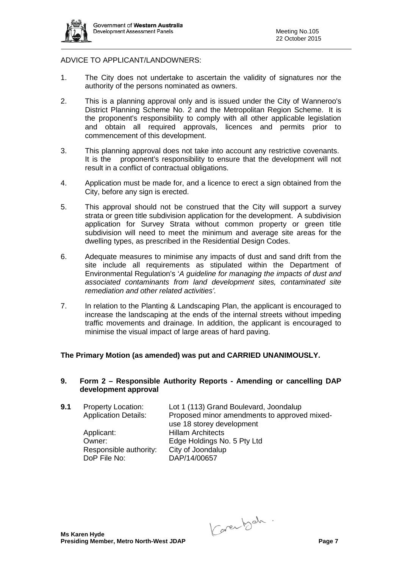

## ADVICE TO APPLICANT/LANDOWNERS:

- 1. The City does not undertake to ascertain the validity of signatures nor the authority of the persons nominated as owners.
- 2. This is a planning approval only and is issued under the City of Wanneroo's District Planning Scheme No. 2 and the Metropolitan Region Scheme. It is the proponent's responsibility to comply with all other applicable legislation and obtain all required approvals, licences and permits prior to commencement of this development.
- 3. This planning approval does not take into account any restrictive covenants. It is the proponent's responsibility to ensure that the development will not result in a conflict of contractual obligations.
- 4. Application must be made for, and a licence to erect a sign obtained from the City, before any sign is erected.
- 5. This approval should not be construed that the City will support a survey strata or green title subdivision application for the development. A subdivision application for Survey Strata without common property or green title subdivision will need to meet the minimum and average site areas for the dwelling types, as prescribed in the Residential Design Codes.
- 6. Adequate measures to minimise any impacts of dust and sand drift from the site include all requirements as stipulated within the Department of Environmental Regulation's '*A guideline for managing the impacts of dust and associated contaminants from land development sites, contaminated site remediation and other related activities'.*
- 7. In relation to the Planting & Landscaping Plan, the applicant is encouraged to increase the landscaping at the ends of the internal streets without impeding traffic movements and drainage. In addition, the applicant is encouraged to minimise the visual impact of large areas of hard paving.

## **The Primary Motion (as amended) was put and CARRIED UNANIMOUSLY.**

**9. Form 2 – Responsible Authority Reports - Amending or cancelling DAP development approval**

| 9.1 | <b>Property Location:</b>   | Lot 1 (113) Grand Boulevard, Joondalup       |
|-----|-----------------------------|----------------------------------------------|
|     | <b>Application Details:</b> | Proposed minor amendments to approved mixed- |
|     |                             | use 18 storey development                    |
|     | Applicant:                  | <b>Hillam Architects</b>                     |
|     | Owner:                      | Edge Holdings No. 5 Pty Ltd                  |
|     | Responsible authority:      | City of Joondalup                            |
|     | DoP File No:                | DAP/14/00657                                 |

Carentsch.